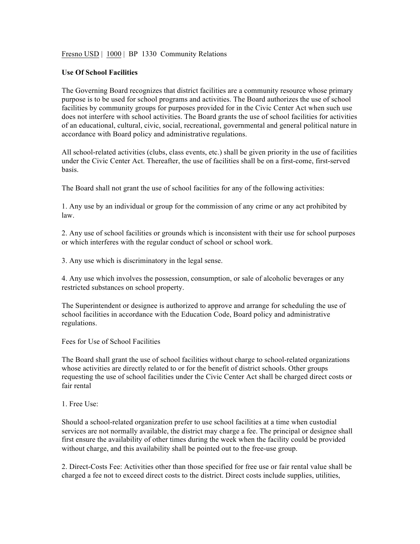# Fresno USD | 1000 | BP 1330 Community Relations

## **Use Of School Facilities**

The Governing Board recognizes that district facilities are a community resource whose primary purpose is to be used for school programs and activities. The Board authorizes the use of school facilities by community groups for purposes provided for in the Civic Center Act when such use does not interfere with school activities. The Board grants the use of school facilities for activities of an educational, cultural, civic, social, recreational, governmental and general political nature in accordance with Board policy and administrative regulations.

All school-related activities (clubs, class events, etc.) shall be given priority in the use of facilities under the Civic Center Act. Thereafter, the use of facilities shall be on a first-come, first-served basis.

The Board shall not grant the use of school facilities for any of the following activities:

1. Any use by an individual or group for the commission of any crime or any act prohibited by law.

2. Any use of school facilities or grounds which is inconsistent with their use for school purposes or which interferes with the regular conduct of school or school work.

3. Any use which is discriminatory in the legal sense.

4. Any use which involves the possession, consumption, or sale of alcoholic beverages or any restricted substances on school property.

The Superintendent or designee is authorized to approve and arrange for scheduling the use of school facilities in accordance with the Education Code, Board policy and administrative regulations.

Fees for Use of School Facilities

The Board shall grant the use of school facilities without charge to school-related organizations whose activities are directly related to or for the benefit of district schools. Other groups requesting the use of school facilities under the Civic Center Act shall be charged direct costs or fair rental

## 1. Free Use:

Should a school-related organization prefer to use school facilities at a time when custodial services are not normally available, the district may charge a fee. The principal or designee shall first ensure the availability of other times during the week when the facility could be provided without charge, and this availability shall be pointed out to the free-use group.

2. Direct-Costs Fee: Activities other than those specified for free use or fair rental value shall be charged a fee not to exceed direct costs to the district. Direct costs include supplies, utilities,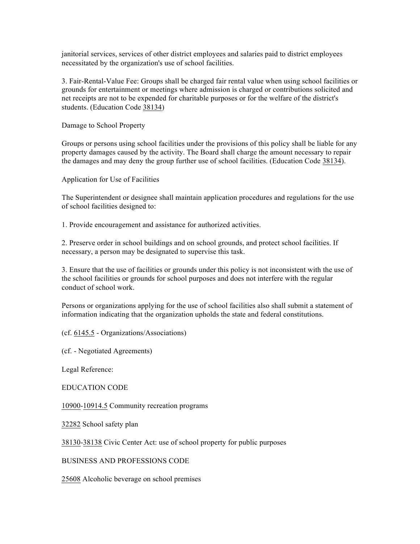janitorial services, services of other district employees and salaries paid to district employees necessitated by the organization's use of school facilities.

3. Fair-Rental-Value Fee: Groups shall be charged fair rental value when using school facilities or grounds for entertainment or meetings where admission is charged or contributions solicited and net receipts are not to be expended for charitable purposes or for the welfare of the district's students. (Education Code 38134)

Damage to School Property

Groups or persons using school facilities under the provisions of this policy shall be liable for any property damages caused by the activity. The Board shall charge the amount necessary to repair the damages and may deny the group further use of school facilities. (Education Code 38134).

Application for Use of Facilities

The Superintendent or designee shall maintain application procedures and regulations for the use of school facilities designed to:

1. Provide encouragement and assistance for authorized activities.

2. Preserve order in school buildings and on school grounds, and protect school facilities. If necessary, a person may be designated to supervise this task.

3. Ensure that the use of facilities or grounds under this policy is not inconsistent with the use of the school facilities or grounds for school purposes and does not interfere with the regular conduct of school work.

Persons or organizations applying for the use of school facilities also shall submit a statement of information indicating that the organization upholds the state and federal constitutions.

(cf. 6145.5 - Organizations/Associations)

(cf. - Negotiated Agreements)

Legal Reference:

EDUCATION CODE

10900-10914.5 Community recreation programs

32282 School safety plan

38130-38138 Civic Center Act: use of school property for public purposes

BUSINESS AND PROFESSIONS CODE

25608 Alcoholic beverage on school premises